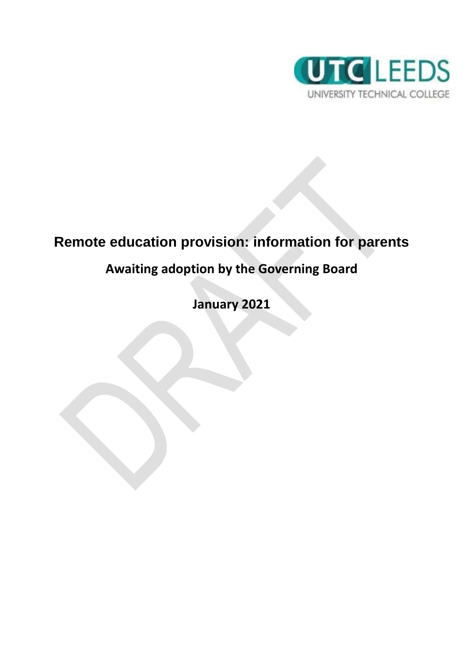

# **Remote education provision: information for parents**

# **Awaiting adoption by the Governing Board**

**January 2021**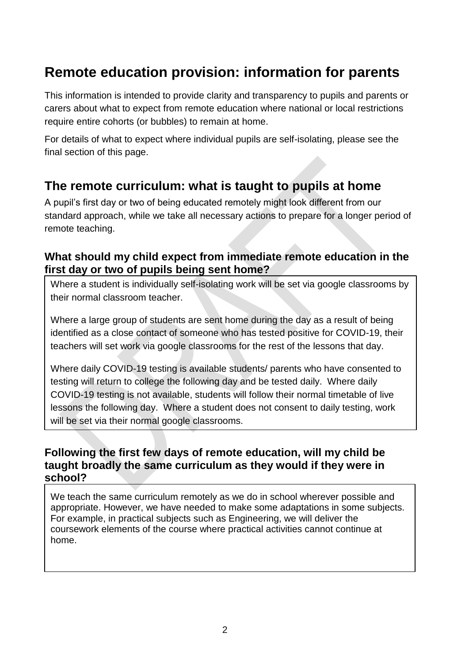# **Remote education provision: information for parents**

This information is intended to provide clarity and transparency to pupils and parents or carers about what to expect from remote education where national or local restrictions require entire cohorts (or bubbles) to remain at home.

For details of what to expect where individual pupils are self-isolating, please see the final section of this page.

### **The remote curriculum: what is taught to pupils at home**

A pupil's first day or two of being educated remotely might look different from our standard approach, while we take all necessary actions to prepare for a longer period of remote teaching.

#### **What should my child expect from immediate remote education in the first day or two of pupils being sent home?**

Where a student is individually self-isolating work will be set via google classrooms by their normal classroom teacher.

Where a large group of students are sent home during the day as a result of being identified as a close contact of someone who has tested positive for COVID-19, their teachers will set work via google classrooms for the rest of the lessons that day.

Where daily COVID-19 testing is available students/ parents who have consented to testing will return to college the following day and be tested daily. Where daily COVID-19 testing is not available, students will follow their normal timetable of live lessons the following day. Where a student does not consent to daily testing, work will be set via their normal google classrooms.

#### **Following the first few days of remote education, will my child be taught broadly the same curriculum as they would if they were in school?**

We teach the same curriculum remotely as we do in school wherever possible and appropriate. However, we have needed to make some adaptations in some subjects. For example, in practical subjects such as Engineering, we will deliver the coursework elements of the course where practical activities cannot continue at home.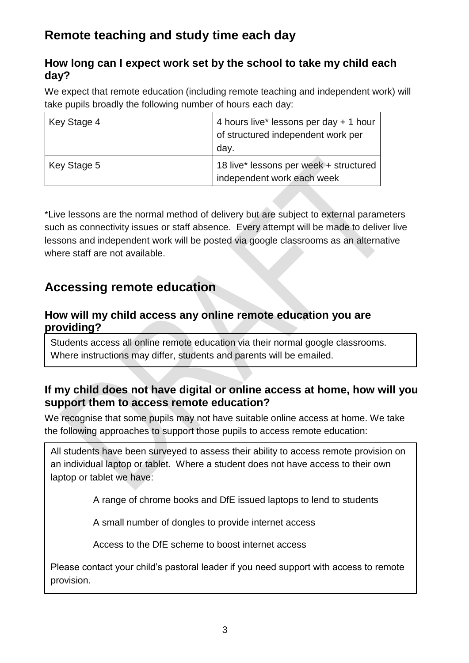## **Remote teaching and study time each day**

#### **How long can I expect work set by the school to take my child each day?**

We expect that remote education (including remote teaching and independent work) will take pupils broadly the following number of hours each day:

| Key Stage 4 | 4 hours live* lessons per day + 1 hour<br>of structured independent work per<br>day. |
|-------------|--------------------------------------------------------------------------------------|
| Key Stage 5 | 18 live* lessons per week + structured<br>independent work each week                 |

\*Live lessons are the normal method of delivery but are subject to external parameters such as connectivity issues or staff absence. Every attempt will be made to deliver live lessons and independent work will be posted via google classrooms as an alternative where staff are not available.

## **Accessing remote education**

#### **How will my child access any online remote education you are providing?**

Students access all online remote education via their normal google classrooms. Where instructions may differ, students and parents will be emailed.

#### **If my child does not have digital or online access at home, how will you support them to access remote education?**

We recognise that some pupils may not have suitable online access at home. We take the following approaches to support those pupils to access remote education:

All students have been surveyed to assess their ability to access remote provision on an individual laptop or tablet. Where a student does not have access to their own laptop or tablet we have:

A range of chrome books and DfE issued laptops to lend to students

A small number of dongles to provide internet access

Access to the DfE scheme to boost internet access

Please contact your child's pastoral leader if you need support with access to remote provision.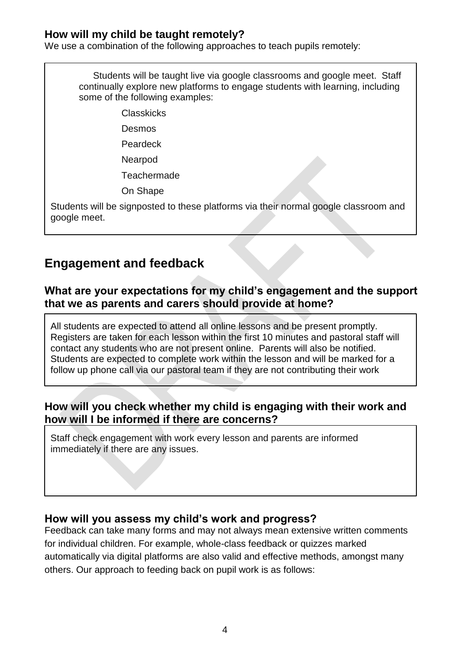#### **How will my child be taught remotely?**

We use a combination of the following approaches to teach pupils remotely:

Students will be taught live via google classrooms and google meet. Staff continually explore new platforms to engage students with learning, including some of the following examples:

- Classkicks
- Desmos

Peardeck

Nearpod

**Teachermade** 

On Shape

Students will be signposted to these platforms via their normal google classroom and google meet.

### **Engagement and feedback**

#### **What are your expectations for my child's engagement and the support that we as parents and carers should provide at home?**

All students are expected to attend all online lessons and be present promptly. Registers are taken for each lesson within the first 10 minutes and pastoral staff will contact any students who are not present online. Parents will also be notified. Students are expected to complete work within the lesson and will be marked for a follow up phone call via our pastoral team if they are not contributing their work

#### **How will you check whether my child is engaging with their work and how will I be informed if there are concerns?**

Staff check engagement with work every lesson and parents are informed immediately if there are any issues.

#### **How will you assess my child's work and progress?**

Feedback can take many forms and may not always mean extensive written comments for individual children. For example, whole-class feedback or quizzes marked automatically via digital platforms are also valid and effective methods, amongst many others. Our approach to feeding back on pupil work is as follows: